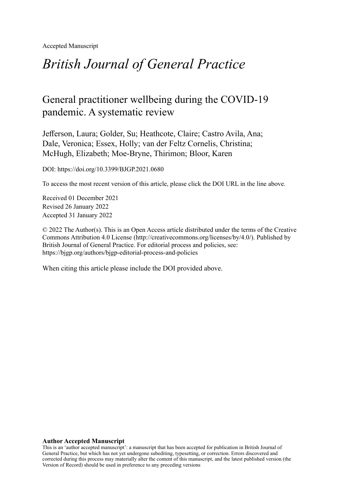Accepted Manuscript

# *British Journal of General Practice*

# General practitioner wellbeing during the COVID-19 pandemic. A systematic review

Jefferson, Laura; Golder, Su; Heathcote, Claire; Castro Avila, Ana; Dale, Veronica; Essex, Holly; van der Feltz Cornelis, Christina; McHugh, Elizabeth; Moe-Bryne, Thirimon; Bloor, Karen

DOI: https://doi.org/10.3399/BJGP.2021.0680

To access the most recent version of this article, please click the DOI URL in the line above.

Received 01 December 2021 Revised 26 January 2022 Accepted 31 January 2022

© 2022 The Author(s). This is an Open Access article distributed under the terms of the Creative Commons Attribution 4.0 License [\(http://creativecommons.org/licenses/by/4.0/](http://creativecommons.org/licenses/by/4.0/)). Published by British Journal of General Practice. For editorial process and policies, see: <https://bjgp.org/authors/bjgp-editorial-process-and-policies>

When citing this article please include the DOI provided above.

#### **Author Accepted Manuscript**

This is an 'author accepted manuscript': a manuscript that has been accepted for publication in British Journal of General Practice, but which has not yet undergone subediting, typesetting, or correction. Errors discovered and corrected during this process may materially alter the content of this manuscript, and the latest published version (the Version of Record) should be used in preference to any preceding versions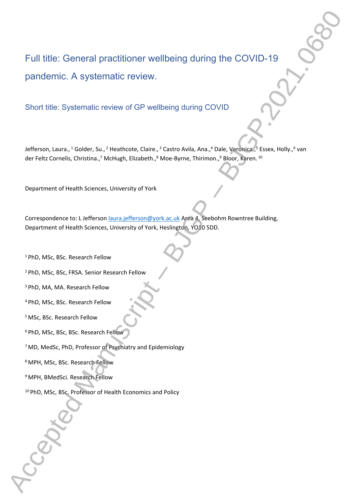# Full title: General practitioner wellbeing during the COVID-19 pandemic. A systematic review.

Short title: Systematic review of GP wellbeing during COVID

Jefferson, Laura., <sup>1</sup> Golder, Su., <sup>2</sup> Heathcote, Claire., <sup>3</sup> Castro Avila, Ana., <sup>4</sup> Dale, Veronica., 5 Essex, Holly., 6 van der Feltz Cornelis, Christina.,<sup>7</sup> McHugh, Elizabeth.,<sup>8</sup> Moe-Byrne, Thirimon.,<sup>9</sup> Bloor, Karen. <sup>10</sup>

Department of Health Sciences, University of York

Correspondence to: L Jefferson [laura.jefferson@york.ac.uk](mailto:laura.jefferson@york.ac.uk) Area 4, Seebohm Rowntree Building, Department of Health Sciences, University of York, Heslington, YO10 5DD.

<sup>1</sup> PhD, MSc, BSc. Research Fellow

<sup>2</sup>PhD, MSc, BSc, FRSA. Senior Research Fellow

<sup>3</sup>PhD, MA, MA. Research Fellow

<sup>4</sup>PhD, MSc, BSc. Research Fellow

<sup>5</sup>MSc, BSc. Research Fellow

<sup>6</sup> PhD, MSc, BSc, BSc. Research Fellow

<sup>7</sup>MD, MedSc, PhD, Professor of Psychiatry and Epidemiology

<sup>8</sup>MPH, MSc, BSc. Research Fellow

<sup>9</sup>MPH, BMedSci. Research Fellow

10 PhD, MSc, BSc. Professor of Health Economics and Policy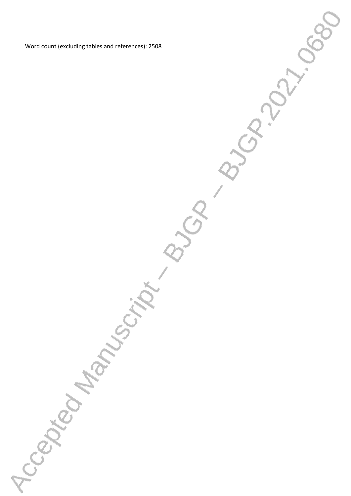Word count (excluding tables and references): 2508

Accepted Manufacture By Burns

ARIVATION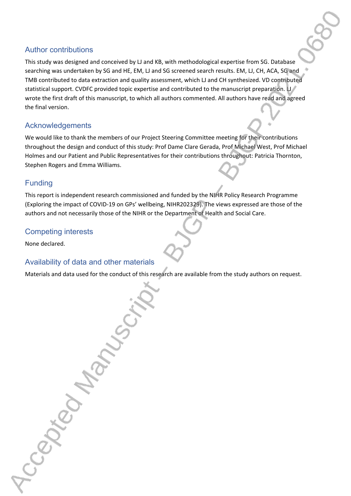#### Author contributions

This study was designed and conceived by LJ and KB, with methodological expertise from SG. Database searching was undertaken by SG and HE, EM, LJ and SG screened search results. EM, LJ, CH, ACA, SG and TMB contributed to data extraction and quality assessment, which LJ and CH synthesized. VD contributed statistical support. CVDFC provided topic expertise and contributed to the manuscript preparation. LJ wrote the first draft of this manuscript, to which all authors commented. All authors have read and agreed the final version.

## **Acknowledgements**

We would like to thank the members of our Project Steering Committee meeting for their contributions throughout the design and conduct of this study: Prof Dame Clare Gerada, Prof Michael West, Prof Michael Holmes and our Patient and Public Representatives for their contributions throughout: Patricia Thornton, Stephen Rogers and Emma Williams.

## Funding

This report is independent research commissioned and funded by the NIHR Policy Research Programme (Exploring the impact of COVID-19 on GPs' wellbeing, NIHR202329). The views expressed are those of the authors and not necessarily those of the NIHR or the Department of Health and Social Care.

## Competing interests

None declared.

# Availability of data and other materials

Materials and data used for the conduct of this research are available from the study authors on request.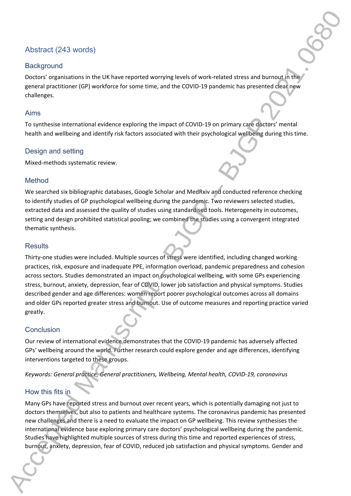# Abstract (243 words)

#### **Background**

Doctors' organisations in the UK have reported worrying levels of work-related stress and burnout in the general practitioner (GP) workforce for some time, and the COVID-19 pandemic has presented clear new challenges.

#### Aims

To synthesise international evidence exploring the impact of COVID-19 on primary care doctors' mental health and wellbeing and identify risk factors associated with their psychological wellbeing during this time.

#### Design and setting

Mixed-methods systematic review.

#### Method

We searched six bibliographic databases, Google Scholar and MedRxiv and conducted reference checking to identify studies of GP psychological wellbeing during the pandemic. Two reviewers selected studies, extracted data and assessed the quality of studies using standardised tools. Heterogeneity in outcomes, setting and design prohibited statistical pooling; we combined the studies using a convergent integrated thematic synthesis.

#### **Results**

Thirty-one studies were included. Multiple sources of stress were identified, including changed working practices, risk, exposure and inadequate PPE, information overload, pandemic preparedness and cohesion across sectors. Studies demonstrated an impact on psychological wellbeing, with some GPs experiencing stress, burnout, anxiety, depression, fear of COVID, lower job satisfaction and physical symptoms. Studies described gender and age differences: women report poorer psychological outcomes across all domains and older GPs reported greater stress and burnout. Use of outcome measures and reporting practice varied greatly.

#### **Conclusion**

Our review of international evidence demonstrates that the COVID-19 pandemic has adversely affected GPs' wellbeing around the world. Further research could explore gender and age differences, identifying interventions targeted to these groups.

*Keywords: General practice, General practitioners, Wellbeing, Mental health, COVID-19, coronavirus*

#### How this fits in

Many GPs have reported stress and burnout over recent years, which is potentially damaging not just to doctors themselves, but also to patients and healthcare systems. The coronavirus pandemic has presented new challenges and there is a need to evaluate the impact on GP wellbeing. This review synthesises the international evidence base exploring primary care doctors' psychological wellbeing during the pandemic. Studies have highlighted multiple sources of stress during this time and reported experiences of stress, burnout, anxiety, depression, fear of COVID, reduced job satisfaction and physical symptoms. Gender and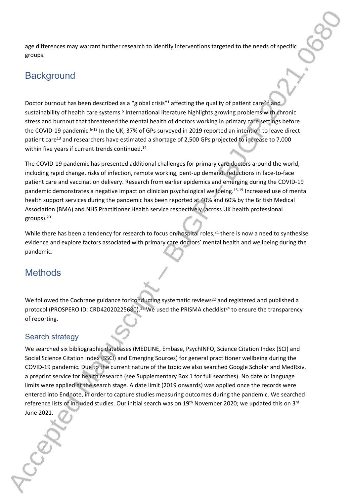age differences may warrant further research to identify interventions targeted to the needs of specific groups.

# **Background**

Doctor burnout has been described as a "global crisis"<sup>1</sup> affecting the quality of patient care<sup>2-4</sup> and sustainability of health care systems.<sup>5</sup> International literature highlights growing problems with chronic stress and burnout that threatened the mental health of doctors working in primary care settings before the COVID-19 pandemic.<sup>6-12</sup> In the UK, 37% of GPs surveyed in 2019 reported an intention to leave direct patient care<sup>13</sup> and researchers have estimated a shortage of 2,500 GPs projected to increase to 7,000 within five years if current trends continued.<sup>14</sup>

The COVID-19 pandemic has presented additional challenges for primary care doctors around the world, including rapid change, risks of infection, remote working, pent-up demand, reductions in face-to-face patient care and vaccination delivery. Research from earlier epidemics and emerging during the COVID-19 pandemic demonstrates a negative impact on clinician psychological wellbeing.15-19 Increased use of mental health support services during the pandemic has been reported at 40% and 60% by the British Medical Association (BMA) and NHS Practitioner Health service respectively (across UK health professional groups).<sup>20</sup>

While there has been a tendency for research to focus on hospital roles,<sup>21</sup> there is now a need to synthesise evidence and explore factors associated with primary care doctors' mental health and wellbeing during the pandemic.

# **Methods**

We followed the Cochrane guidance for conducting systematic reviews<sup>22</sup> and registered and published a protocol (PROSPERO ID: CRD42020225680).<sup>23</sup> We used the PRISMA checklist<sup>24</sup> to ensure the transparency of reporting.

## Search strategy

We searched six bibliographic databases (MEDLINE, Embase, PsychINFO, Science Citation Index (SCI) and Social Science Citation Index (SSCI) and Emerging Sources) for general practitioner wellbeing during the COVID-19 pandemic. Due to the current nature of the topic we also searched Google Scholar and MedRxiv, a preprint service for health research (see Supplementary Box 1 for full searches). No date or language limits were applied at the search stage. A date limit (2019 onwards) was applied once the records were entered into Endnote, in order to capture studies measuring outcomes during the pandemic. We searched reference lists of included studies. Our initial search was on 19<sup>th</sup> November 2020; we updated this on 3<sup>rd</sup> June 2021.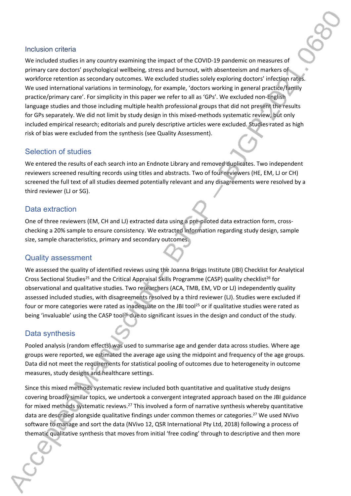#### Inclusion criteria

We included studies in any country examining the impact of the COVID-19 pandemic on measures of primary care doctors' psychological wellbeing, stress and burnout, with absenteeism and markers of workforce retention as secondary outcomes. We excluded studies solely exploring doctors' infection rates. We used international variations in terminology, for example, 'doctors working in general practice/family practice/primary care'. For simplicity in this paper we refer to all as 'GPs'. We excluded non-English language studies and those including multiple health professional groups that did not present the results for GPs separately. We did not limit by study design in this mixed-methods systematic review, but only included empirical research; editorials and purely descriptive articles were excluded. Studies rated as high risk of bias were excluded from the synthesis (see Quality Assessment).

#### Selection of studies

We entered the results of each search into an Endnote Library and removed duplicates. Two independent reviewers screened resulting records using titles and abstracts. Two of four reviewers (HE, EM, LJ or CH) screened the full text of all studies deemed potentially relevant and any disagreements were resolved by a third reviewer (LJ or SG).

#### Data extraction

One of three reviewers (EM, CH and LJ) extracted data using a pre-piloted data extraction form, crosschecking a 20% sample to ensure consistency. We extracted information regarding study design, sample size, sample characteristics, primary and secondary outcomes.

#### Quality assessment

We assessed the quality of identified reviews using the Joanna Briggs Institute (JBI) Checklist for Analytical Cross Sectional Studies<sup>25</sup> and the Critical Appraisal Skills Programme (CASP) quality checklist<sup>26</sup> for observational and qualitative studies. Two researchers (ACA, TMB, EM, VD or LJ) independently quality assessed included studies, with disagreements resolved by a third reviewer (LJ). Studies were excluded if four or more categories were rated as inadequate on the JBI tool<sup>25</sup> or if qualitative studies were rated as being 'invaluable' using the CASP tool<sup>26</sup> due to significant issues in the design and conduct of the study.

#### Data synthesis

Pooled analysis (random effects) was used to summarise age and gender data across studies. Where age groups were reported, we estimated the average age using the midpoint and frequency of the age groups. Data did not meet the requirements for statistical pooling of outcomes due to heterogeneity in outcome measures, study designs and healthcare settings.

Since this mixed methods systematic review included both quantitative and qualitative study designs covering broadly similar topics, we undertook a convergent integrated approach based on the JBI guidance for mixed methods systematic reviews.<sup>27</sup> This involved a form of narrative synthesis whereby quantitative data are described alongside qualitative findings under common themes or categories.<sup>27</sup> We used NVivo software to manage and sort the data (NVivo 12, QSR International Pty Ltd, 2018) following a process of thematic qualitative synthesis that moves from initial 'free coding' through to descriptive and then more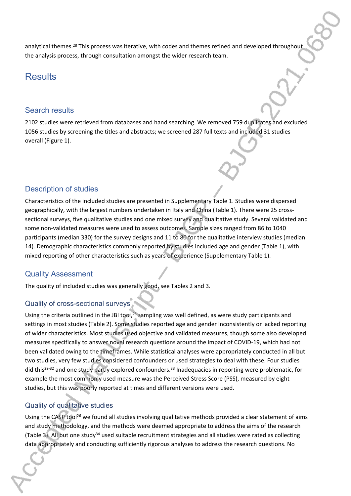analytical themes.<sup>28</sup> This process was iterative, with codes and themes refined and developed throughout the analysis process, through consultation amongst the wider research team.

# **Results**

#### Search results

2102 studies were retrieved from databases and hand searching. We removed 759 duplicates and excluded 1056 studies by screening the titles and abstracts; we screened 287 full texts and included 31 studies overall (Figure 1).

## Description of studies

Characteristics of the included studies are presented in Supplementary Table 1. Studies were dispersed geographically, with the largest numbers undertaken in Italy and China (Table 1). There were 25 crosssectional surveys, five qualitative studies and one mixed survey and qualitative study. Several validated and some non-validated measures were used to assess outcomes. Sample sizes ranged from 86 to 1040 participants (median 330) for the survey designs and 11 to 80 for the qualitative interview studies (median 14). Demographic characteristics commonly reported by studies included age and gender (Table 1), with mixed reporting of other characteristics such as years of experience (Supplementary Table 1).

## Quality Assessment

The quality of included studies was generally good, see Tables 2 and 3.

## Quality of cross-sectional surveys

Using the criteria outlined in the JBI tool,<sup>25</sup> sampling was well defined, as were study participants and settings in most studies (Table 2). Some studies reported age and gender inconsistently or lacked reporting of wider characteristics. Most studies used objective and validated measures, though some also developed measures specifically to answer novel research questions around the impact of COVID-19, which had not been validated owing to the timeframes. While statistical analyses were appropriately conducted in all but two studies, very few studies considered confounders or used strategies to deal with these. Four studies did this<sup>29-32</sup> and one study partly explored confounders.<sup>33</sup> Inadequacies in reporting were problematic, for example the most commonly used measure was the Perceived Stress Score (PSS), measured by eight studies, but this was poorly reported at times and different versions were used.

## Quality of qualitative studies

Using the CASP tool<sup>26</sup> we found all studies involving qualitative methods provided a clear statement of aims and study methodology, and the methods were deemed appropriate to address the aims of the research (Table 3). All but one study<sup>34</sup> used suitable recruitment strategies and all studies were rated as collecting data appropriately and conducting sufficiently rigorous analyses to address the research questions. No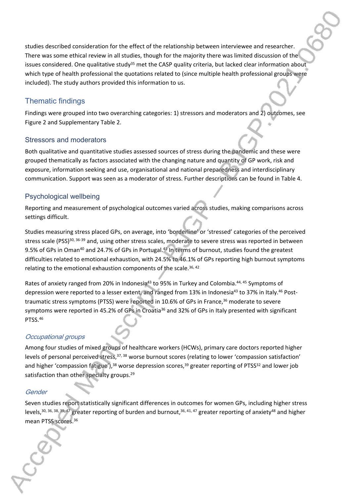studies described consideration for the effect of the relationship between interviewee and researcher. There was some ethical review in all studies, though for the majority there was limited discussion of the issues considered. One qualitative study<sup>35</sup> met the CASP quality criteria, but lacked clear information about which type of health professional the quotations related to (since multiple health professional groups were included). The study authors provided this information to us.

## Thematic findings

Findings were grouped into two overarching categories: 1) stressors and moderators and 2) outcomes, see Figure 2 and Supplementary Table 2.

#### Stressors and moderators

Both qualitative and quantitative studies assessed sources of stress during the pandemic and these were grouped thematically as factors associated with the changing nature and quantity of GP work, risk and exposure, information seeking and use, organisational and national preparedness and interdisciplinary communication. Support was seen as a moderator of stress. Further descriptions can be found in Table 4.

#### Psychological wellbeing

Reporting and measurement of psychological outcomes varied across studies, making comparisons across settings difficult.

Studies measuring stress placed GPs, on average, into 'borderline' or 'stressed' categories of the perceived stress scale (PSS)<sup>30, 36-39</sup> and, using other stress scales, moderate to severe stress was reported in between 9.5% of GPs in Oman<sup>40</sup> and 24.7% of GPs in Portugal.<sup>41</sup> In terms of burnout, studies found the greatest difficulties related to emotional exhaustion, with 24.5% to 46.1% of GPs reporting high burnout symptoms relating to the emotional exhaustion components of the scale.<sup>36, 42</sup>

Rates of anxiety ranged from 20% in Indonesia<sup>43</sup> to 95% in Turkey and Colombia.<sup>44, 45</sup> Symptoms of depression were reported to a lesser extent, and ranged from 13% in Indonesia<sup>43</sup> to 37% in Italy.<sup>46</sup> Posttraumatic stress symptoms (PTSS) were reported in 10.6% of GPs in France,<sup>36</sup> moderate to severe symptoms were reported in 45.2% of GPs in Croatia<sup>36</sup> and 32% of GPs in Italy presented with significant PTSS.<sup>46</sup>

#### *Occupational groups*

Among four studies of mixed groups of healthcare workers (HCWs), primary care doctors reported higher levels of personal perceived stress, 37, 38 worse burnout scores (relating to lower 'compassion satisfaction' and higher 'compassion fatigue'),<sup>38</sup> worse depression scores,<sup>39</sup> greater reporting of PTSS<sup>32</sup> and lower job satisfaction than other specialty groups.<sup>29</sup>

#### *Gender*

Seven studies report statistically significant differences in outcomes for women GPs, including higher stress levels,30, 36, 38, 39, 47 greater reporting of burden and burnout,36, 41, 47 greater reporting of anxiety<sup>48</sup> and higher mean PTSS scores.<sup>36</sup>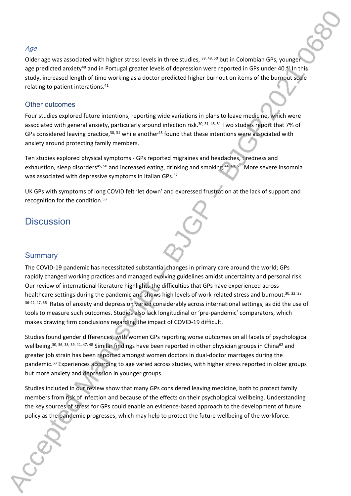#### *Age*

Older age was associated with higher stress levels in three studies, 39, 49, 50 but in Colombian GPs, younger age predicted anxiety<sup>48</sup> and in Portugal greater levels of depression were reported in GPs under 40.<sup>41</sup> In this study, increased length of time working as a doctor predicted higher burnout on items of the burnout scale relating to patient interations.<sup>41</sup>

#### Other outcomes

Four studies explored future intentions, reporting wide variations in plans to leave medicine, which were associated with general anxiety, particularly around infection risk.<sup>30, 31, 48, 51</sup> Two studies report that 7% of GPs considered leaving practice,  $30$ ,  $31$  while another<sup>48</sup> found that these intentions were associated with anxiety around protecting family members.

Ten studies explored physical symptoms - GPs reported migraines and headaches, tiredness and exhaustion, sleep disorders<sup>45, 50</sup> and increased eating, drinking and smoking.<sup>44, 48, 51</sup> More severe insomnia was associated with depressive symptoms in Italian GPs.<sup>52</sup>

UK GPs with symptoms of long COVID felt 'let down' and expressed frustration at the lack of support and recognition for the condition.<sup>53</sup>

# **Discussion**

#### **Summary**

The COVID-19 pandemic has necessitated substantial changes in primary care around the world; GPs rapidly changed working practices and managed evolving guidelines amidst uncertainty and personal risk. Our review of international literature highlights the difficulties that GPs have experienced across healthcare settings during the pandemic and shows high levels of work-related stress and burnout.<sup>30, 32, 33,</sup> 36-42, 47, 55 Rates of anxiety and depression varied considerably across international settings, as did the use of tools to measure such outcomes. Studies also lack longitudinal or 'pre-pandemic' comparators, which makes drawing firm conclusions regarding the impact of COVID-19 difficult.

Studies found gender differences, with women GPs reporting worse outcomes on all facets of psychological wellbeing.<sup>30, 36, 38, 39, 41, 47, 48</sup> Similar findings have been reported in other physician groups in China<sup>62</sup> and greater job strain has been reported amongst women doctors in dual-doctor marriages during the pandemic.<sup>63</sup> Experiences according to age varied across studies, with higher stress reported in older groups but more anxiety and depression in younger groups.

Studies included in our review show that many GPs considered leaving medicine, both to protect family members from risk of infection and because of the effects on their psychological wellbeing. Understanding the key sources of stress for GPs could enable an evidence-based approach to the development of future policy as the pandemic progresses, which may help to protect the future wellbeing of the workforce.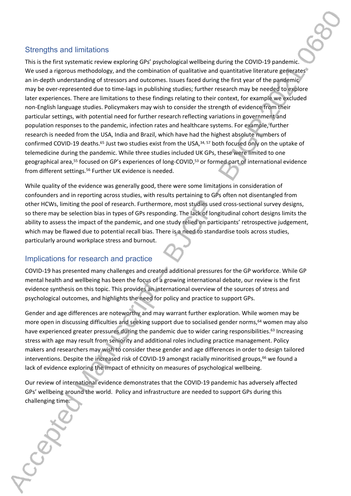#### Strengths and limitations

This is the first systematic review exploring GPs' psychological wellbeing during the COVID-19 pandemic. We used a rigorous methodology, and the combination of qualitative and quantitative literature generates an in-depth understanding of stressors and outcomes. Issues faced during the first year of the pandemic may be over-represented due to time-lags in publishing studies; further research may be needed to explore later experiences. There are limitations to these findings relating to their context, for example we excluded non-English language studies. Policymakers may wish to consider the strength of evidence from their particular settings, with potential need for further research reflecting variations in government and population responses to the pandemic, infection rates and healthcare systems. For example, further research is needed from the USA, India and Brazil, which have had the highest absolute numbers of confirmed COVID-19 deaths.<sup>65</sup> Just two studies exist from the USA,<sup>34, 57</sup> both focused only on the uptake of telemedicine during the pandemic. While three studies included UK GPs, these were limited to one geographical area,<sup>55</sup> focused on GP's experiences of long-COVID,<sup>53</sup> or formed part of international evidence from different settings.<sup>56</sup> Further UK evidence is needed.

While quality of the evidence was generally good, there were some limitations in consideration of confounders and in reporting across studies, with results pertaining to GPs often not disentangled from other HCWs, limiting the pool of research. Furthermore, most studies used cross-sectional survey designs, so there may be selection bias in types of GPs responding. The lack of longitudinal cohort designs limits the ability to assess the impact of the pandemic, and one study relied on participants' retrospective judgement, which may be flawed due to potential recall bias. There is a need to standardise tools across studies, particularly around workplace stress and burnout.

## Implications for research and practice

COVID-19 has presented many challenges and created additional pressures for the GP workforce. While GP mental health and wellbeing has been the focus of a growing international debate, our review is the first evidence synthesis on this topic. This provides an international overview of the sources of stress and psychological outcomes, and highlights the need for policy and practice to support GPs.

Gender and age differences are noteworthy and may warrant further exploration. While women may be more open in discussing difficulties and seeking support due to socialised gender norms,<sup>64</sup> women may also have experienced greater pressures during the pandemic due to wider caring responsibilities.<sup>63</sup> Increasing stress with age may result from seniority and additional roles including practice management. Policy makers and researchers may wish to consider these gender and age differences in order to design tailored interventions. Despite the increased risk of COVID-19 amongst racially minoritised groups,<sup>66</sup> we found a lack of evidence exploring the impact of ethnicity on measures of psychological wellbeing.

Our review of international evidence demonstrates that the COVID-19 pandemic has adversely affected GPs' wellbeing around the world. Policy and infrastructure are needed to support GPs during this challenging time.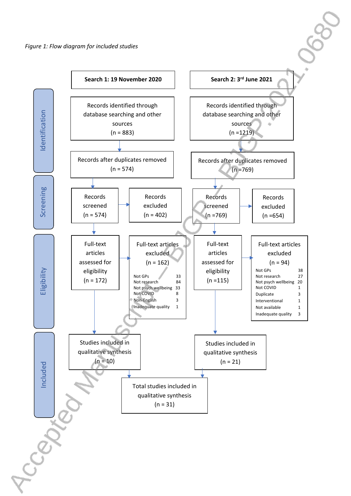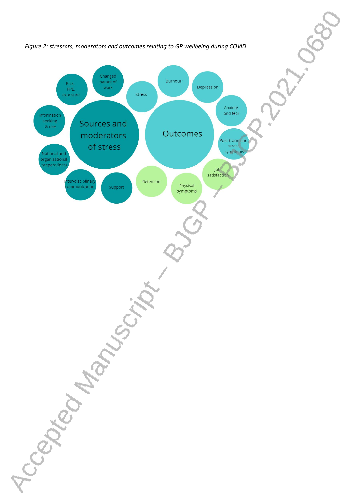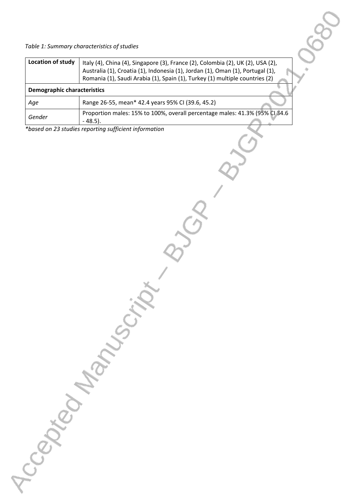*Table 1: Summary characteristics of studies*

| Location of study                  | Italy (4), China (4), Singapore (3), France (2), Colombia (2), UK (2), USA (2),<br>Australia (1), Croatia (1), Indonesia (1), Jordan (1), Oman (1), Portugal (1),<br>Romania (1), Saudi Arabia (1), Spain (1), Turkey (1) multiple countries (2) |  |  |  |  |  |
|------------------------------------|--------------------------------------------------------------------------------------------------------------------------------------------------------------------------------------------------------------------------------------------------|--|--|--|--|--|
| <b>Demographic characteristics</b> |                                                                                                                                                                                                                                                  |  |  |  |  |  |
| Age                                | Range 26-55, mean* 42.4 years 95% CI (39.6, 45.2)                                                                                                                                                                                                |  |  |  |  |  |
| Gender                             | Proportion males: 15% to 100%, overall percentage males: 41.3% (95% CI 34.6<br>$-48.5$ ).                                                                                                                                                        |  |  |  |  |  |

*\*based on 23 studies reporting sufficient information* 

Accepted Manuscript Bylon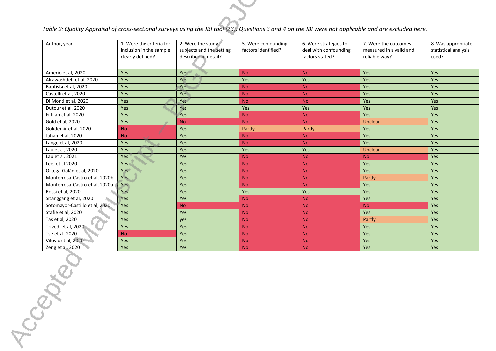# *Table 2: Quality Appraisal of cross-sectional surveys using the JBI tool (23). Questions 3 and 4 on the JBI were not applicable and are excluded here.*

| Author, year                   | 1. Were the criteria for<br>inclusion in the sample<br>clearly defined? | 2. Were the study<br>subjects and the setting<br>described in detail? | 5. Were confounding<br>factors identified? | 6. Were strategies to<br>deal with confounding<br>factors stated? | 7. Were the outcomes<br>measured in a valid and<br>reliable way? | 8. Was appropriate<br>statistical analysis<br>used? |
|--------------------------------|-------------------------------------------------------------------------|-----------------------------------------------------------------------|--------------------------------------------|-------------------------------------------------------------------|------------------------------------------------------------------|-----------------------------------------------------|
| Amerio et al, 2020             | Yes                                                                     | Yes                                                                   | <b>No</b>                                  | <b>No</b>                                                         | Yes                                                              | <b>Yes</b>                                          |
| Alrawashdeh et al, 2020        | Yes                                                                     | Yes                                                                   | Yes                                        | Yes                                                               | Yes                                                              | <b>Yes</b>                                          |
| Baptista et al, 2020           | Yes                                                                     | Yes                                                                   | <b>No</b>                                  | <b>No</b>                                                         | Yes                                                              | <b>Yes</b>                                          |
| Castelli et al, 2020           | Yes                                                                     | <b>Yes</b>                                                            | <b>No</b>                                  | <b>No</b>                                                         | <b>Yes</b>                                                       | <b>Yes</b>                                          |
| Di Monti et al, 2020           | Yes                                                                     | Yes                                                                   | <b>No</b>                                  | <b>No</b>                                                         | Yes                                                              | <b>Yes</b>                                          |
| Dutour et al, 2020             | Yes                                                                     | Yes                                                                   | Yes                                        | Yes                                                               | Yes                                                              | Yes                                                 |
| Filfilan et al, 2020           | Yes                                                                     | Yes                                                                   | <b>No</b>                                  | <b>No</b>                                                         | Yes                                                              | Yes                                                 |
| Gold et al, 2020               | Yes                                                                     | <b>No</b>                                                             | <b>No</b>                                  | <b>No</b>                                                         | <b>Unclear</b>                                                   | Yes                                                 |
| Gokdemir et al, 2020           | <b>No</b>                                                               | Yes                                                                   | Partly                                     | Partly                                                            | Yes                                                              | Yes                                                 |
| Jahan et al, 2020              | <b>No</b>                                                               | Yes                                                                   | <b>No</b>                                  | <b>No</b>                                                         | Yes                                                              | Yes                                                 |
| Lange et al, 2020              | Yes                                                                     | Yes                                                                   | <b>No</b>                                  | <b>No</b>                                                         | Yes                                                              | <b>Yes</b>                                          |
| Lau et al, 2020                | Yes                                                                     | Yes                                                                   | Yes                                        | Yes                                                               | <b>Unclear</b>                                                   | <b>Yes</b>                                          |
| Lau et al, 2021                | Yes                                                                     | Yes                                                                   | <b>No</b>                                  | <b>No</b>                                                         | <b>No</b>                                                        | Yes                                                 |
| Lee, et al 2020                | <b>Yes</b>                                                              | Yes                                                                   | <b>No</b>                                  | <b>No</b>                                                         | <b>Yes</b>                                                       | <b>Yes</b>                                          |
| Ortega-Galán et al, 2020       | Yes                                                                     | Yes                                                                   | <b>No</b>                                  | <b>No</b>                                                         | Yes                                                              | Yes                                                 |
| Monterrosa-Castro et al, 2020b | <b>Yes</b>                                                              | Yes                                                                   | <b>No</b>                                  | <b>No</b>                                                         | Partly                                                           | <b>Yes</b>                                          |
| Monterrosa-Castro et al, 2020a | Yes                                                                     | Yes                                                                   | <b>No</b>                                  | <b>No</b>                                                         | Yes                                                              | <b>Yes</b>                                          |
| Rossi et al, 2020              | Yes                                                                     | Yes                                                                   | Yes                                        | Yes                                                               | Yes                                                              | <b>Yes</b>                                          |
| Sitanggang et al, 2020         | Yes                                                                     | Yes                                                                   | <b>No</b>                                  | <b>No</b>                                                         | Yes                                                              | <b>Yes</b>                                          |
| Sotomayor-Castillo et al, 2020 | Yes                                                                     | <b>No</b>                                                             | <b>No</b>                                  | <b>No</b>                                                         | <b>No</b>                                                        | Yes                                                 |
| Stafie et al, 2020             | Yes                                                                     | Yes                                                                   | <b>No</b>                                  | <b>No</b>                                                         | <b>Yes</b>                                                       | <b>Yes</b>                                          |
| Tas et al, 2020                | Yes                                                                     | yes                                                                   | <b>No</b>                                  | <b>No</b>                                                         | Partly                                                           | <b>Yes</b>                                          |
| Trivedi et al, 2020            | Yes                                                                     | Yes                                                                   | <b>No</b>                                  | <b>No</b>                                                         | Yes                                                              | Yes                                                 |
| Tse et al, 2020                | <b>No</b>                                                               | Yes                                                                   | <b>No</b>                                  | <b>No</b>                                                         | Yes                                                              | Yes                                                 |
| Vilovic et al, 2020            | Yes                                                                     | Yes                                                                   | <b>No</b>                                  | <b>No</b>                                                         | Yes                                                              | Yes                                                 |
| Zeng et al. 2020               | Yes                                                                     | Yes                                                                   | <b>No</b>                                  | <b>No</b>                                                         | Yes                                                              | Yes                                                 |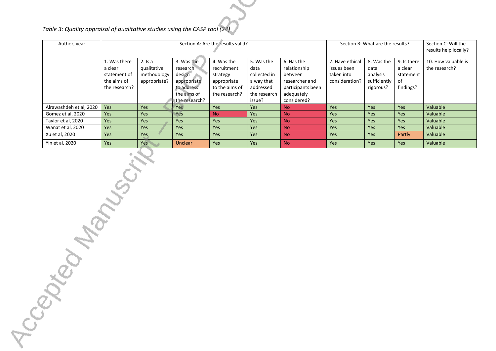*Table 3: Quality appraisal of qualitative studies using the CASP tool (24)*

| Author, year            | Section A: Are the results valid?                                       |                                                         |                                                                                               |                                                                                         |                                                                                         | Section B: What are the results?                                                                          |                                                                |                                                             | Section C: Will the<br>results help locally?           |                                      |
|-------------------------|-------------------------------------------------------------------------|---------------------------------------------------------|-----------------------------------------------------------------------------------------------|-----------------------------------------------------------------------------------------|-----------------------------------------------------------------------------------------|-----------------------------------------------------------------------------------------------------------|----------------------------------------------------------------|-------------------------------------------------------------|--------------------------------------------------------|--------------------------------------|
|                         | 1. Was there<br>a clear<br>statement of<br>the aims of<br>the research? | $2.$ Is a<br>qualitative<br>methodology<br>appropriate? | 3. Was the<br>research<br>design<br>appropriate<br>to address<br>the aims of<br>the research? | 4. Was the<br>recruitment<br>strategy<br>appropriate<br>to the aims of<br>the research? | 5. Was the<br>data<br>collected in<br>a way that<br>addressed<br>the research<br>issue? | 6. Has the<br>relationship<br>between<br>researcher and<br>participants been<br>adequately<br>considered? | 7. Have ethical<br>issues been<br>taken into<br>consideration? | 8. Was the<br>data<br>analysis<br>sufficiently<br>rigorous? | 9. Is there<br>a clear<br>statement<br>of<br>findings? | 10. How valuable is<br>the research? |
| Alrawashdeh et al, 2020 | Yes                                                                     | Yes                                                     | Yes                                                                                           | Yes                                                                                     | <b>Yes</b>                                                                              | <b>No</b>                                                                                                 | <b>Yes</b>                                                     | Yes                                                         | <b>Yes</b>                                             | Valuable                             |
| Gomez et al, 2020       | Yes                                                                     | Yes                                                     | Yes                                                                                           | <b>No</b>                                                                               | <b>Yes</b>                                                                              | <b>No</b>                                                                                                 | <b>Yes</b>                                                     | Yes                                                         | Yes                                                    | Valuable                             |
| Taylor et al, 2020      | <b>Yes</b>                                                              | Yes                                                     | Yes                                                                                           | Yes                                                                                     | <b>Yes</b>                                                                              | <b>No</b>                                                                                                 | <b>Yes</b>                                                     | Yes                                                         | Yes                                                    | Valuable                             |
| Wanat et al, 2020       | <b>Yes</b>                                                              | Yes                                                     | <b>Yes</b>                                                                                    | Yes                                                                                     | <b>Yes</b>                                                                              | <b>No</b>                                                                                                 | Yes                                                            | Yes                                                         | <b>Yes</b>                                             | Valuable                             |
| Xu et al, 2020          | Yes                                                                     | Yes                                                     | <b>Yes</b>                                                                                    | <b>Yes</b>                                                                              | <b>Yes</b>                                                                              | <b>No</b>                                                                                                 | Yes                                                            | Yes                                                         | Partly                                                 | Valuable                             |
| Yin et al, 2020         | Yes                                                                     | Yes                                                     | <b>Unclear</b>                                                                                | Yes                                                                                     | Yes                                                                                     | <b>No</b>                                                                                                 | Yes                                                            | Yes                                                         | Yes                                                    | Valuable                             |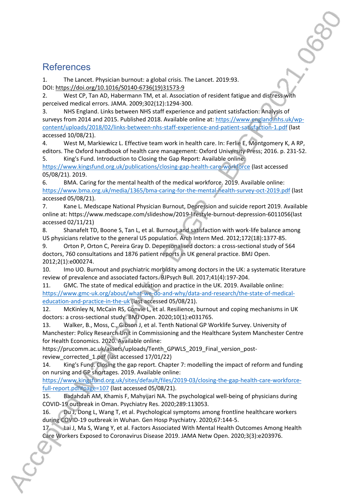# **References**

1. The Lancet. Physician burnout: a global crisis. The Lancet. 2019:93. DOI: [https://doi.org/10.1016/S0140-6736\(19\)31573-9](https://doi.org/10.1016/S0140-6736(19)31573-9)

2. West CP, Tan AD, Habermann TM, et al. Association of resident fatigue and distress with perceived medical errors. JAMA. 2009;302(12):1294-300.

3. NHS England. Links between NHS staff experience and patient satisfaction: Analysis of surveys from 2014 and 2015. Published 2018. Available online at: [https://www.england.nhs.uk/wp](https://www.england.nhs.uk/wp-content/uploads/2018/02/links-between-nhs-staff-experience-and-patient-satisfaction-1.pdf)[content/uploads/2018/02/links-between-nhs-staff-experience-and-patient-satisfaction-1.pdf](https://www.england.nhs.uk/wp-content/uploads/2018/02/links-between-nhs-staff-experience-and-patient-satisfaction-1.pdf) (last accessed 10/08/21).

4. West M, Markiewicz L. Effective team work in health care. In: Ferlie E, Montgomery K, A RP, editors. The Oxford handbook of health care management: Oxford University Press; 2016. p. 231-52.

5. King's Fund. Introduction to Closing the Gap Report: Available online: <https://www.kingsfund.org.uk/publications/closing-gap-health-care-workforce> (last accessed 05/08/21). 2019.

6. BMA. Caring for the mental health of the medical workforce. 2019. Available online: <https://www.bma.org.uk/media/1365/bma-caring-for-the-mental-health-survey-oct-2019.pdf> (last accessed 05/08/21).

7. Kane L. Medscape National Physician Burnout, Depression and suicide report 2019. Available online at: https://www.medscape.com/slideshow/2019-lifestyle-burnout-depression-6011056(last accessed 02/11/21)

8. Shanafelt TD, Boone S, Tan L, et al. Burnout and satisfaction with work-life balance among US physicians relative to the general US population. Arch Intern Med. 2012;172(18):1377-85.

9. Orton P, Orton C, Pereira Gray D. Depersonalised doctors: a cross-sectional study of 564 doctors, 760 consultations and 1876 patient reports in UK general practice. BMJ Open. 2012;2(1):e000274.

10. Imo UO. Burnout and psychiatric morbidity among doctors in the UK: a systematic literature review of prevalence and associated factors. BJPsych Bull. 2017;41(4):197-204.

11. GMC. The state of medical education and practice in the UK. 2019. Available online: [https://www.gmc-uk.org/about/what-we-do-and-why/data-and-research/the-state-of-medical](https://www.gmc-uk.org/about/what-we-do-and-why/data-and-research/the-state-of-medical-education-and-practice-in-the-uk)[education-and-practice-in-the-uk](https://www.gmc-uk.org/about/what-we-do-and-why/data-and-research/the-state-of-medical-education-and-practice-in-the-uk) (last accessed 05/08/21).

12. McKinley N, McCain RS, Convie L, et al. Resilience, burnout and coping mechanisms in UK doctors: a cross-sectional study. BMJ Open. 2020;10(1):e031765.

13. Walker, B., Moss, C., Gibson J, et al. Tenth National GP Worklife Survey. University of Manchester: Policy Research Unit in Commissioning and the Healthcare System Manchester Centre for Health Economics. 2020. Available online:

https://prucomm.ac.uk/assets/uploads/Tenth\_GPWLS\_2019\_Final\_version\_postreview\_corrected\_1.pdf (last accessed 17/01/22)

14. King's Fund. Closing the gap report. Chapter 7: modelling the impact of reform and funding on nursing and GP shortages. 2019. Available online:

[https://www.kingsfund.org.uk/sites/default/files/2019-03/closing-the-gap-health-care-workforce](https://www.kingsfund.org.uk/sites/default/files/2019-03/closing-the-gap-health-care-workforce-full-report.pdf#page=107)[full-report.pdf#page=107](https://www.kingsfund.org.uk/sites/default/files/2019-03/closing-the-gap-health-care-workforce-full-report.pdf#page=107) (last accessed 05/08/21).

15. Badahdah AM, Khamis F, Mahyijari NA. The psychological well-being of physicians during COVID-19 outbreak in Oman. Psychiatry Res. 2020;289:113053.

16. Du J, Dong L, Wang T, et al. Psychological symptoms among frontline healthcare workers during COVID-19 outbreak in Wuhan. Gen Hosp Psychiatry. 2020;67:144-5.

17. Lai J, Ma S, Wang Y, et al. Factors Associated With Mental Health Outcomes Among Health Care Workers Exposed to Coronavirus Disease 2019. JAMA Netw Open. 2020;3(3):e203976.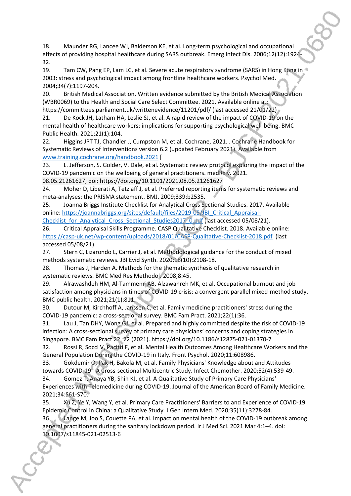18. Maunder RG, Lancee WJ, Balderson KE, et al. Long-term psychological and occupational effects of providing hospital healthcare during SARS outbreak. Emerg Infect Dis. 2006;12(12):1924- 32.

19. Tam CW, Pang EP, Lam LC, et al. Severe acute respiratory syndrome (SARS) in Hong Kong in 2003: stress and psychological impact among frontline healthcare workers. Psychol Med. 2004;34(7):1197-204.

20. British Medical Association. Written evidence submitted by the British Medical Association (WBR0069) to the Health and Social Care Select Committee. 2021. Available online at: https://committees.parliament.uk/writtenevidence/11201/pdf/ (last accessed 21/01/22)

21. De Kock JH, Latham HA, Leslie SJ, et al. A rapid review of the impact of COVID-19 on the mental health of healthcare workers: implications for supporting psychological well-being. BMC Public Health. 2021;21(1):104.

22. Higgins JPT TJ, Chandler J, Cumpston M, et al. Cochrane, 2021. . Cochrane Handbook for Systematic Reviews of Interventions version 6.2 (updated February 2021). Available from [www.training.cochrane.org/handbook.2021](file:///C:/Users/ld132/Downloads/www.training.cochrane.org/handbook.2021) [

23. L. Jefferson, S. Golder, V. Dale, et al. Systematic review protocol exploring the impact of the COVID-19 pandemic on the wellbeing of general practitioners. medRxiv. 2021.

08.05.21261627; doi: https://doi.org/10.1101/2021.08.05.21261627

24. Moher D, Liberati A, Tetzlaff J, et al. Preferred reporting items for systematic reviews and meta-analyses: the PRISMA statement. BMJ. 2009;339:b2535.

25. Joanna Briggs Institute Checklist for Analytical Cross Sectional Studies. 2017. Available online: [https://joannabriggs.org/sites/default/files/2019-05/JBI\\_Critical\\_Appraisal-](https://joannabriggs.org/sites/default/files/2019-05/JBI_Critical_Appraisal-Checklist_for_Analytical_Cross_Sectional_Studies2017_0.pdf)

Checklist for Analytical Cross Sectional Studies2017 0.pdf (last accessed 05/08/21).

26. Critical Appraisal Skills Programme. CASP Qualitative Checklist. 2018. Available online: <https://casp-uk.net/wp-content/uploads/2018/01/CASP-Qualitative-Checklist-2018.pdf> (last accessed 05/08/21).

27. Stern C, Lizarondo L, Carrier J, et al. Methodological guidance for the conduct of mixed methods systematic reviews. JBI Evid Synth. 2020;18(10):2108-18.

28. Thomas J, Harden A. Methods for the thematic synthesis of qualitative research in systematic reviews. BMC Med Res Methodol. 2008;8:45.

29. Alrawashdeh HM, Al-Tammemi AB, Alzawahreh MK, et al. Occupational burnout and job satisfaction among physicians in times of COVID-19 crisis: a convergent parallel mixed-method study. BMC public health. 2021;21(1):811.

30. Dutour M, Kirchhoff A, Janssen C, et al. Family medicine practitioners' stress during the COVID-19 pandemic: a cross-sectional survey. BMC Fam Pract. 2021;22(1):36.

31. Lau J, Tan DHY, Wong GJ, et al. Prepared and highly committed despite the risk of COVID-19 infection: A cross-sectional survey of primary care physicians' concerns and coping strategies in Singapore. BMC Fam Pract 22, 22 (2021). https://doi.org/10.1186/s12875-021-01370-7

32. Rossi R, Socci V, Pacitti F, et al. Mental Health Outcomes Among Healthcare Workers and the General Population During the COVID-19 in Italy. Front Psychol. 2020;11:608986.

33. Gokdemir O, Pak H, Bakola M, et al. Family Physicians' Knowledge about and Attitudes towards COVID-19 - A Cross-sectional Multicentric Study. Infect Chemother. 2020;52(4):539-49. 34. Gomez T, Anaya YB, Shih KJ, et al. A Qualitative Study of Primary Care Physicians' Experiences with Telemedicine during COVID-19. Journal of the American Board of Family Medicine. 2021;34:S61-S70.

35. Xu Z, Ye Y, Wang Y, et al. Primary Care Practitioners' Barriers to and Experience of COVID-19 Epidemic Control in China: a Qualitative Study. J Gen Intern Med. 2020;35(11):3278-84.

36. Lange M, Joo S, Couette PA, et al. Impact on mental health of the COVID-19 outbreak among general practitioners during the sanitary lockdown period. Ir J Med Sci. 2021 Mar 4:1–4. doi: 10.1007/s11845-021-02513-6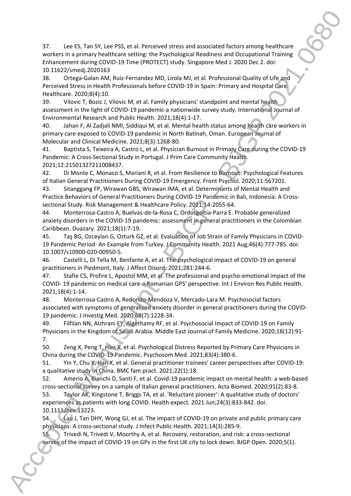37. Lee ES, Tan SY, Lee PSS, et al. Perceived stress and associated factors among healthcare workers in a primary healthcare setting: the Psychological Readiness and Occupational Training Enhancement during COVID-19 Time (PROTECT) study. Singapore Med J. 2020 Dec 2. doi: 10.11622/smedj.2020163

38. Ortega-Galan AM, Ruiz-Fernandez MD, Lirola MJ, et al. Professional Quality of Life and Perceived Stress in Health Professionals before COVID-19 in Spain: Primary and Hospital Care. Healthcare. 2020;8(4):10.

39. Vilovic T, Bozic J, Vilovic M, et al. Family physicians' standpoint and mental health assessment in the light of COVID-19 pandemic-a nationwide survey study. International Journal of Environmental Research and Public Health. 2021;18(4):1-17.

40. Jahan F, Al Zadjali NMI, Siddiqui M, et al. Mental health status among health care workers in primary care exposed to COVID-19 pandemic in North Batinah, Oman. European Journal of Molecular and Clinical Medicine. 2021;8(3):1268-80.

41. Baptista S, Teixeira A, Castro L, et al. Physician Burnout in Primary Care during the COVID-19 Pandemic: A Cross-Sectional Study in Portugal. J Prim Care Community Health. 2021;12:21501327211008437.

42. Di Monte C, Monaco S, Mariani R, et al. From Resilience to Burnout: Psychological Features of Italian General Practitioners During COVID-19 Emergency. Front Psychol. 2020;11:567201.

43. Sitanggang FP, Wirawan GBS, Wirawan IMA, et al. Determinants of Mental Health and Practice Behaviors of General Practitioners During COVID-19 Pandemic in Bali, Indonesia: A Crosssectional Study. Risk Management & Healthcare Policy. 2021;14:2055-64.

44. Monterrosa-Castro A, Buelvas-de-la-Rosa C, Ordosgoitia-Parra E. Probable generalized anxiety disorders in the COVID-19 pandemic: assessment in general practitioners in the Colombian Caribbean. Duazary. 2021;18(1):7-19.

45. Taş BG, Ozceylan G, Ozturk GZ, et al. Evaluation of Job Strain of Family Physicians in COVID-19 Pandemic Period- An Example from Turkey. J Community Health. 2021 Aug;46(4):777-785. doi: 10.1007/s10900-020-00950-5.

46. Castelli L, Di Tella M, Benfante A, et al. The psychological impact of COVID-19 on general practitioners in Piedmont, Italy. J Affect Disord. 2021;281:244-6.

47. Stafie CS, Profire L, Apostol MM, et al. The professional and psycho-emotional impact of the COVID- 19 pandemic on medical care-a Romanian GPS' perspective. Int J Environ Res Public Health. 2021;18(4):1-14.

48. Monterrosa-Castro A, Redondo-Mendoza V, Mercado-Lara M. Psychosocial factors associated with symptoms of generalized anxiety disorder in general practitioners during the COVID-19 pandemic. J Investig Med. 2020;68(7):1228-34.

49. Filfilan NN, Alzhrani EY, Algethamy RF, et al. Psychosocial Impact of COVID-19 on Family Physicians in the Kingdom of Saudi Arabia. Middle East Journal of Family Medicine. 2020;18(12):91- 7.

50. Zeng X, Peng T, Hao X, et al. Psychological Distress Reported by Primary Care Physicians in China during the COVID-19 Pandemic. Psychosom Med. 2021;83(4):380-6.

51. Yin Y, Chu X, Han X, et al. General practitioner trainees' career perspectives after COVID-19: a qualitative study in China. BMC fam pract. 2021;22(1):18.

52. Amerio A, Bianchi D, Santi F, et al. Covid-19 pandemic impact on mental health: a web-based cross-sectional survey on a sample of Italian general practitioners. Acta Biomed. 2020;91(2):83-8.

53. Taylor AK, Kingstone T, Briggs TA, et al. 'Reluctant pioneer': A qualitative study of doctors' experiences as patients with long COVID. Health expect. 2021 Jun;24(3):833-842. doi: 10.1111/hex.13223.

54. Lau J, Tan DHY, Wong GJ, et al. The impact of COVID-19 on private and public primary care physicians: A cross-sectional study. J Infect Public Health. 2021;14(3):285-9.

55. Trivedi N, Trivedi V, Moorthy A, et al. Recovery, restoration, and risk: a cross-sectional survey of the impact of COVID-19 on GPs in the first UK city to lock down. BJGP Open. 2020;5(1).